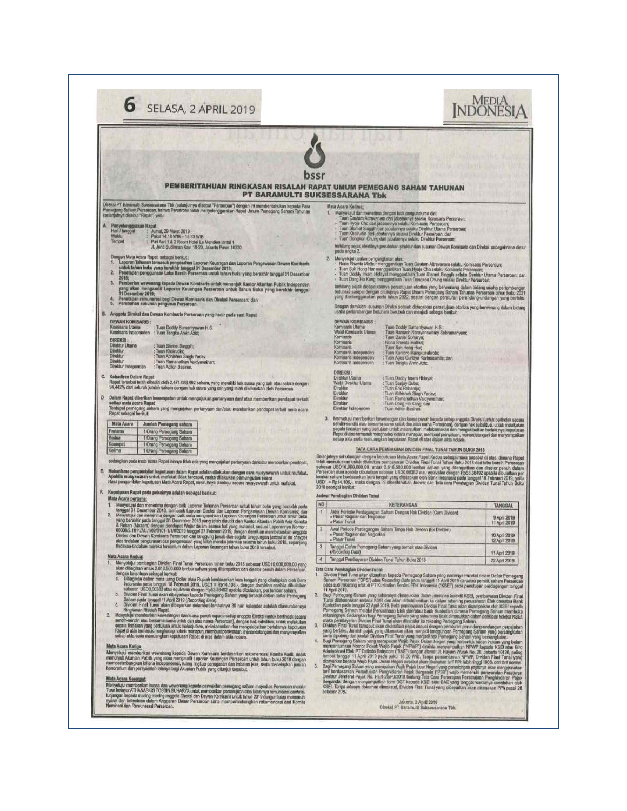|                                                                                                                                                                                                                                                                                                                                                                                                                                                                                                                                                                                                                                                                                                                                                                                                                                                                                                                                                                                                                                                                                                                                                                                                                                                                                                                                                                                                                                                                                                                                                                                                                                                                                                                                                                                                                                                                                                                                                                                                                                                                                                                                                                                                                                                                                                                                                                                                                                                                                                                                            | bssr<br>PEMBERITAHUAN RINGKASAN RISALAH RAPAT UMUM PEMEGANG SAHAM TAHUNAN<br><b>PT BARAMULTI SUKSESSARANA Tbk</b>                                                                                                                                                                                                                                                                                                                                                                                                                                                                                                                                                                                                                                                                                                                                                                                                                                                                                                                                                                                                                                                                                                                                                                                                                                                                                                                                                                                                                                                                                                                                                                                                                                                                                                                                                                                                                                                                                                                                                                                                                                                                                                                                                                                                                                                                                                                                                                                                                                                                                                                                                                                                                                                                                                                                                                                                                                                                                                                                                                                                                                                                                                                                                                                                 |
|--------------------------------------------------------------------------------------------------------------------------------------------------------------------------------------------------------------------------------------------------------------------------------------------------------------------------------------------------------------------------------------------------------------------------------------------------------------------------------------------------------------------------------------------------------------------------------------------------------------------------------------------------------------------------------------------------------------------------------------------------------------------------------------------------------------------------------------------------------------------------------------------------------------------------------------------------------------------------------------------------------------------------------------------------------------------------------------------------------------------------------------------------------------------------------------------------------------------------------------------------------------------------------------------------------------------------------------------------------------------------------------------------------------------------------------------------------------------------------------------------------------------------------------------------------------------------------------------------------------------------------------------------------------------------------------------------------------------------------------------------------------------------------------------------------------------------------------------------------------------------------------------------------------------------------------------------------------------------------------------------------------------------------------------------------------------------------------------------------------------------------------------------------------------------------------------------------------------------------------------------------------------------------------------------------------------------------------------------------------------------------------------------------------------------------------------------------------------------------------------------------------------------------------------|-------------------------------------------------------------------------------------------------------------------------------------------------------------------------------------------------------------------------------------------------------------------------------------------------------------------------------------------------------------------------------------------------------------------------------------------------------------------------------------------------------------------------------------------------------------------------------------------------------------------------------------------------------------------------------------------------------------------------------------------------------------------------------------------------------------------------------------------------------------------------------------------------------------------------------------------------------------------------------------------------------------------------------------------------------------------------------------------------------------------------------------------------------------------------------------------------------------------------------------------------------------------------------------------------------------------------------------------------------------------------------------------------------------------------------------------------------------------------------------------------------------------------------------------------------------------------------------------------------------------------------------------------------------------------------------------------------------------------------------------------------------------------------------------------------------------------------------------------------------------------------------------------------------------------------------------------------------------------------------------------------------------------------------------------------------------------------------------------------------------------------------------------------------------------------------------------------------------------------------------------------------------------------------------------------------------------------------------------------------------------------------------------------------------------------------------------------------------------------------------------------------------------------------------------------------------------------------------------------------------------------------------------------------------------------------------------------------------------------------------------------------------------------------------------------------------------------------------------------------------------------------------------------------------------------------------------------------------------------------------------------------------------------------------------------------------------------------------------------------------------------------------------------------------------------------------------------------------------------------------------------------------------------------------------------------------|
| Direksi PT Baramulti Suksessarana Tbk (selanjutnya disebut "Perseroan") dengan ini memberitahukan kepada Para<br>Pemegang Saham Perneroan, bahwa Perseroan telah menyelenggarakan Rapat Umum Pemegang Saham Tahunan<br>(setenjutnya disebut "Rapat") yaitu:<br>Penyelenggaraan Rapat<br>Han / tanggal<br>Jumal, 29 Maret 2019<br>Waklu<br>Pukul 14.18 WIB - 15.33 WIB<br>Tempet<br>Puri Asri 1 & 2 Room Hotel Le Meridien lantai 1<br>Jl. Jend Sudirman Kav. 18-20, Jakarta Pusat 10220<br>Dengen Mata Acara Rapat sebagai berikut:<br>lanowan Tahunan termasuk pengesahan Laporan Keuangan dan Laporan Pengawasan Dewan Komisaris<br>untuk tahun buku yang berakhir tenggal 31 Desember 2015;<br>Penelapan penggunaan Laba Bersih Perseroan untuk tahun buku yang berakhir<br>л.<br>z.<br>2018:<br>3.<br>Pemberian wewenang kepada Dewan Komisaris untuk menunjuk Kantor Akuntan Publik Independen<br>yang akan mengaudit Laporan Keuangan Perseroan untuk Tahun Buku yang berakhir tanggal<br>31 Desamber 2019;<br>Penetapan remunerasi bagi Dewan Komisaris dan Direksi Perseroan; dan<br>Perubahan susunan pengurus Perseroan.<br>5.<br>В,<br>Anggota Direksi dan Dawan Komisaris Perseroan yang hadir pada saat Rapat<br><b>DEWAN KOMISARIS</b><br>Komisaris Utama<br>Tuan Doddy Sumantyawan H.S.<br>Komisaris Independen<br>: Tuan Tengku Alwin Aziz:<br>DIREKSI:<br>Direktur Utama<br>: Tuan Slamet Singgih;<br>Direktur<br>: Tuan Kholrudin;<br><b>Direktur</b><br>Tuan Abhishek Singh Yadav;<br>Direktur<br>Tuan Remanathan Vaidyanathan;<br>Direktur Independen<br>: Tuan Adildn Basinin.<br>¢.<br>Kehadiran Dalam Rapat<br>Rapat tersebut islah dihadiri oleh 2.471.088.992 saham, yang memiliki hak suara yang sah atau setara dengan<br>94,442% dari seluruh jumlah saham dengan hak suara yang sah yang telah dikeluarkan oleh Perseroan.<br>Ď<br>Dalam Rapat diberikan kesempatan untuk mengajukan pertanyaan dan/ atau memberikan pendapat terkalt<br>setiap mata acara Rapat<br>Terdapat pernegang saham yang mengajukan pertanyaan darvatau memberikan pendapat terkait mata acara<br>Rapat sebagai berikut:<br>Mata Acara<br>Jumlah Pemegang saham<br>Pertama<br>1 Orang Pemegang Saham<br>Kedua<br>1 Orang Pemegang Saham<br>Keempat<br>1 Orang Pemegang Saham<br>Kelima<br>1 Orang Pemegang Saham<br>sedangkan pada mata acara Rapat lainnya tidak ada yang mengajukan pertanyaan darvatau memberikan pendapat,<br>Mekanisme pengambilan keputusan dalam Rapat adalah dilakukan dengan cara musyawarah untuk mufakat. | Mata Acara Kelima:<br>Menyetujul dan menerima dengan baik pengunduran diri.<br>Tuan Gautam Attravanam dari jabatannya selaku Komisaris Perseroan;<br>Tuan Hyoje Cho dari jabatannya selaku Komisaris Perseroan;<br>Tuan Slamet Singgih dari jebatannya selaku Direktur Utama Perseroan;<br>Tuan Khoirudin dari jabatannya selaku Direktur Perseroan; dan<br>Tuan Dongkon Chung dari jabatannya selaku Direktur Perseroan;<br>terhitung sejak efektifnya perubahan struktur dan susunan Dewan Komisaria dan Direksi sebagaimana diatur<br>pada angka 2.<br>Menyetujul usulan pengangkalan atas:<br>- None Shweta Methur menggantikan Tuan Gautam Altravanam selaku Komisaris Perseroan;<br>- Tuan Suh Hong Hur mangganlikan Tuan Hyoje Cho selaku Komisaris Perseroan;<br>Tuan Doddy Imam Hidayat menggantikan Tuan Slamet Singgih selaku Direktur Utama Perseroan; dan<br>- Tuan Dong Ho Kang menggantikan Tuan Dongkon Chung selaku Direktur Perseroan;<br>lerhitung sejak didapatkannya persetujuan otorilas yang berwenang dalam bidang usaha pertambangan<br>batubara sampai dengan ditubanya Rapak Umuri Pemergang Saham Tahunan Perseroan tahun buku 2021<br>yang diselenggarakan pada tah<br>Dengan demikian susunan Direksi setelah didapatkan persetujuan otoritas yang berwenang dalam bidang<br>usaha pertambangan betubara berubah dan menjadi sebagai berikut:<br><b>DEWAN KOMISARIS:</b><br>Komisaris Utame<br>Tuan Doddy Sumantyawan H.S.;<br>Wakil Komisaris Utama<br>Tuan Ramesh Narayanswamy Subramanyam;<br>Komisaris<br>Tuan Daniel Suharya;<br>Nona Shwata Mathur<br>Kominaria<br>Komisaris<br>Tuan Suh Hong Hur;<br>Komisaris Independen<br>Tuan Kuntoro Mangkusubroto;<br>Komisaris Independen<br>Tuan Agus Gurlaya Kartasasmila; dan<br>Komisaris Independen<br>: Tuan Tengku Alwin Aziz.<br><b>DIREKSI</b><br>Direktur Utama<br>: Tuan Doddy Imam Hidayat;<br>Wakii Direktur Utama<br>: Tuan Sanjay Dube;<br><b>Direktur</b><br>: Tuan Eric Rahardja<br>Direktur<br>Tuan Abhishek Singh Yadav;<br>Direktur<br>Tuan Ramanathan Vaidyanathan:<br>Direktur<br>: Tuan Dong Ho Kang; dan<br>Direktur Independen<br>Tuan Adikin Basirun.<br>3.<br>Menyetujul memberikan kawenangan dan kuasa penuh kepada satlap anggota Direksi (untuk bertindak secara<br>sendiri-sendiri atau bersama-sama untuk dan atas nama Perseroan), dengan hak subatitusi, untuk metakukan<br>segala tindakan yang bertujuan untuk malanjutkan, malaksanakan dan mengakibatkan bartakunya keputusan<br>Rapat di atas termasuk manghadap notaris manapun, membuat pemyataan, menendatangani dan menyampaikan<br>setiap akta serta menuangkan keputusan Rapat di atas dalam akta notaris.<br>TATA CARA PEMBAGIAN DIVIDEN FINAL TUNAI TAHUN BUKU 2018<br>Selanjulnya sehubungan dengan kepulusan Mata Acara Rapat Kedua sebagaimana tersebut di atas, dimana Rapat<br>telah memuluskan untuk ditakukan pembayaran Dividen Final Tunal Tahun Buku 2018 dari laba bersih Perseroan<br>sebesar USD10,000,000.00 untuk 2.616,500.000 lembar saham yang ditempatkan dan disetor penuh dalam<br>Perseroan atau apabila dibutatkan sebesar USD0,00382 atau equivaten dengan Rp53,88492 spabila dibutatkan per<br>lembar saham berdasarkan kurs tengeh yang ditetapkan oleh Bank Indonesia pada tanggal 18 Februari 2019, yaitu |
| Apabila musyawarah untuk mufakat tidak tercapai, maka dilakukan pemungutan suara<br>Hasil pengambilan kepulusan Mata Acara Rapat, seluruhnya diselujui secara musyawarah untuk mufakat.<br>Keputusan Rapat pada pokoknya adalah sebagai berikut:                                                                                                                                                                                                                                                                                                                                                                                                                                                                                                                                                                                                                                                                                                                                                                                                                                                                                                                                                                                                                                                                                                                                                                                                                                                                                                                                                                                                                                                                                                                                                                                                                                                                                                                                                                                                                                                                                                                                                                                                                                                                                                                                                                                                                                                                                           | USD1 = Rp14.106,», maka dengan ini diberitahukan Jadwal dan Tata cara Pembagian Dividen Tunai Tahun Buku<br>2018 sebagai berikut:<br>Jadwai Pembagian Dividen Tunal                                                                                                                                                                                                                                                                                                                                                                                                                                                                                                                                                                                                                                                                                                                                                                                                                                                                                                                                                                                                                                                                                                                                                                                                                                                                                                                                                                                                                                                                                                                                                                                                                                                                                                                                                                                                                                                                                                                                                                                                                                                                                                                                                                                                                                                                                                                                                                                                                                                                                                                                                                                                                                                                                                                                                                                                                                                                                                                                                                                                                                                                                                                                               |
| Mata Acara pertama:<br>Menyelujui dan menerima dengan baik Laporan Tahunan Perseroan untuk tahun buku yang berakhir pada                                                                                                                                                                                                                                                                                                                                                                                                                                                                                                                                                                                                                                                                                                                                                                                                                                                                                                                                                                                                                                                                                                                                                                                                                                                                                                                                                                                                                                                                                                                                                                                                                                                                                                                                                                                                                                                                                                                                                                                                                                                                                                                                                                                                                                                                                                                                                                                                                   | <b>NO</b><br><b>KETERANGAN</b><br><b>TANGGAL</b>                                                                                                                                                                                                                                                                                                                                                                                                                                                                                                                                                                                                                                                                                                                                                                                                                                                                                                                                                                                                                                                                                                                                                                                                                                                                                                                                                                                                                                                                                                                                                                                                                                                                                                                                                                                                                                                                                                                                                                                                                                                                                                                                                                                                                                                                                                                                                                                                                                                                                                                                                                                                                                                                                                                                                                                                                                                                                                                                                                                                                                                                                                                                                                                                                                                                  |
| tanggal 31 Desember 2018, termasuk Laporan Direksi dan Laporan Pengawasan Dewan Komisaris; dan<br>Menyetujul dan menerima dengan baik serta mengesahkan Laporan Keuangan Perseroan untuk tahun buku<br>$\overline{2}$<br>yang berakhir pada tanggal 31 Desember 2018 yang telah diaudit oleh Kentor Akuntan Publik Aria Kanaka                                                                                                                                                                                                                                                                                                                                                                                                                                                                                                                                                                                                                                                                                                                                                                                                                                                                                                                                                                                                                                                                                                                                                                                                                                                                                                                                                                                                                                                                                                                                                                                                                                                                                                                                                                                                                                                                                                                                                                                                                                                                                                                                                                                                             | Akhir Periode Perdagangan Saham Dengan Hak Dividen (Cum Dividen)<br>• Pasar Reguler dan Negosiasi<br>9 April 2019<br>· Pasar Tunai<br>11 April 2019                                                                                                                                                                                                                                                                                                                                                                                                                                                                                                                                                                                                                                                                                                                                                                                                                                                                                                                                                                                                                                                                                                                                                                                                                                                                                                                                                                                                                                                                                                                                                                                                                                                                                                                                                                                                                                                                                                                                                                                                                                                                                                                                                                                                                                                                                                                                                                                                                                                                                                                                                                                                                                                                                                                                                                                                                                                                                                                                                                                                                                                                                                                                                               |
| & Rekan (Mazars) dengan pendapat Wajar dalam semua hat yang material, sesuai Laporannya Nomor :<br>00006/2.1011/AU.1/02/0101-1/1/I/2019 tanggal 27 Februari 2019, dengan demikian membebaskan anggota<br>Direksi dan Dewan Komisaris Perseroan dari tanggung jawab dan segala tanggungan (acquit et de charge)<br>alas tindakan pengurusan dan pengiwasan yang telah mereka jalankan selama tahun buku 2018, sepanjang                                                                                                                                                                                                                                                                                                                                                                                                                                                                                                                                                                                                                                                                                                                                                                                                                                                                                                                                                                                                                                                                                                                                                                                                                                                                                                                                                                                                                                                                                                                                                                                                                                                                                                                                                                                                                                                                                                                                                                                                                                                                                                                     | $\mathbf{2}$<br>Awal Periode Perdagangan Saham Tanpa Hek Dividen (Ex Dividen)<br>men usafinance<br>10 VOUL 3018<br>· Pasar Tunai<br>12 April 2019                                                                                                                                                                                                                                                                                                                                                                                                                                                                                                                                                                                                                                                                                                                                                                                                                                                                                                                                                                                                                                                                                                                                                                                                                                                                                                                                                                                                                                                                                                                                                                                                                                                                                                                                                                                                                                                                                                                                                                                                                                                                                                                                                                                                                                                                                                                                                                                                                                                                                                                                                                                                                                                                                                                                                                                                                                                                                                                                                                                                                                                                                                                                                                 |
| tindakan-tindakan mereka tercentum dalam Laporan Keuangan tahun buku 2018 tersebut.<br>Mata Acara Kedua:                                                                                                                                                                                                                                                                                                                                                                                                                                                                                                                                                                                                                                                                                                                                                                                                                                                                                                                                                                                                                                                                                                                                                                                                                                                                                                                                                                                                                                                                                                                                                                                                                                                                                                                                                                                                                                                                                                                                                                                                                                                                                                                                                                                                                                                                                                                                                                                                                                   | $\sqrt{3}$<br>Tanggal Daftar Pemegang-Saham yang berhak atas Dividen<br>(Racording Date)<br>11 April 2019<br>$\blacktriangleleft$<br>Tanggal Pembayaran Dividen Tunai Tahun Buku 2018<br>22 April 2019                                                                                                                                                                                                                                                                                                                                                                                                                                                                                                                                                                                                                                                                                                                                                                                                                                                                                                                                                                                                                                                                                                                                                                                                                                                                                                                                                                                                                                                                                                                                                                                                                                                                                                                                                                                                                                                                                                                                                                                                                                                                                                                                                                                                                                                                                                                                                                                                                                                                                                                                                                                                                                                                                                                                                                                                                                                                                                                                                                                                                                                                                                            |
| Menyetujui pembagian Dividen Final Tunai Perseroan tahun buku 2018 sebesar USD10,000,000.00 yang<br>akan dibagikan untuk 2.616.500.000 lembar saham yang ditempatkan dan disetor penuh dalam Perseroan,<br>dengan katentuan sebagai berikut:<br>Dibagikan dalam mata uang Dollar atau Rupiah berdasarkan kurs tengah yang ditetapkan oleh Bank<br>ā.<br>Indonesie pada tanggal 18 Fabruari 2019, USD1 = Rp14.106,-, dengan demikian apabila dibulatkan<br>sebesar USD0,00382 atau equivalen dengan Rp53,86492 apabila dibulatkan, per lembar saham.<br>b<br>Dividen Final Tunai akan dibayarkan kepada Pernegang Saham yang tercatat dalam daltar Pernegang<br>Saham pada tanggal 11 April 2019 (Recording Date).<br>Dividen Final Tunai akan dibayarkan selambat-lambatnya 30 hari kalender setelah diumumkannya<br>C.<br>Ringkasan Risalah Rapst.<br>2.<br>Menyetujui memberikan kewenangan dan kuasa penuh kepada setiap anggota Direksi (untuk bertindak secara<br>sendiri-sendiri atau bersama-sama untuk dan atas nama Perseroan), dengan hak substitusi, untuk melakukan<br>segala tindakan yang bertujuan untuk melanjutkan, melaksanakan dan mengakibatkan berlakunya keputusan<br>Rapet di atas termasuk manghadap notaris manapun, membuat pernyataan, menandatangani dan menyampaikan<br>setiap akta serta menuangkan keputusan Rapat di atas dalam akta notaris.<br>Mata Acara Ketiga;<br>Manyatujui mamberikan wewenang kepada Dewan Komisaris berdasarkan rekomendasi Komite Audit, untuk<br>menunjuk Akuntan Publik yang akan mengaudit Laporan Keuangan Perseroan untuk tahun buku 2019 dengan<br>mempertimbangkan kriteria independensi, ruang lingkup penugasan dan imbalan jasa, serta menetapkan jumlah<br>honorarium dan persyaratan tainnya bagi Akuntan Publik yang ditunjuk tersebut.<br>Mata Acara Keempat:<br>Menyetujui memberikan kuasa dan wawanang kepada parwakilan pemegang saham mayoritas Perseroan melalui                                                                                                                                                                                                                                                                                                                                                                                                                                                                                                                                                                                             | Tata Cara Pembagian DividenTunal:<br>Dividen Final Tunai siten dibegikan kepada Pemegang Saham yang nomanya tercatat dalam Daitar Pemegang<br>Saham Perasonan (*DPS*) atau Recording Daito pada langgal 11 April 2019 darivitatu pemilik saham Persencar<br>jada sub raba<br>11 April 2019.<br>2.<br>Bagi Pernegang Saham yang saharnnya dimasukkan dalam penilipan kolektif KSEI, pembayaran Dividen Final<br>Tunsi dilaksanakan melalui KSEI dan akan didistribusikan ke dalam rekening perusahaan Efek dan/atau Bank<br>Kustodian pada tanggal 22 April 2019. Bukti pembayaran Dividen Final Tunai akan disampaikan oleh KSEI kepada<br>Pemegang Saham melalui Perusahaan Efek dan/atau Bank Kustodian dimana Pemegang Saham membuka<br>rekeningnya. Sedangkan bagi Pemegang Saham yang sehamnya tidak dimasukkan dalam penkipan kolektif KSEI,<br>maka pembayaran Dividen Pinal Tunai akan ditransfer ke rekening Pemegang Saham.<br>Olviden Final Tunai tersebut akan dikenakan pajak sesuai dengan peraturan perundang-undangan perpajakan<br>Uywan Tellis ukuma bisabut wani oleh mahami yanya seseora dengan pemanun pemanung unang berlaku, Jumlah pajak yang dikenakan akan menjadi tanggungan Pemanggan Seham yang bersangkutan<br>Begi Pemanggan Seham yang merupakan Waj<br>4.1<br>dinami tunggan 11 nopus ostas para kaustas tietapi kaustas para kaustas kaustas kaustas kaustas kaustas kaustas<br>dibayakan kojada Wajib Pajak Dalam Negari tunakki akan dikenakan tari PPI labih linggi 100% dari tarif pomal.<br><br>5.                                                                                                                                                                                                                                                                                                                                                                                                                                                                                                                                                                                                                                                                                                                                                                                                                                                                                                                                                                                                                                                                                                                                                                                                                                                                                                                                                                                                                                                                                                                                                                                                                                                                                                                                                                        |

Ľ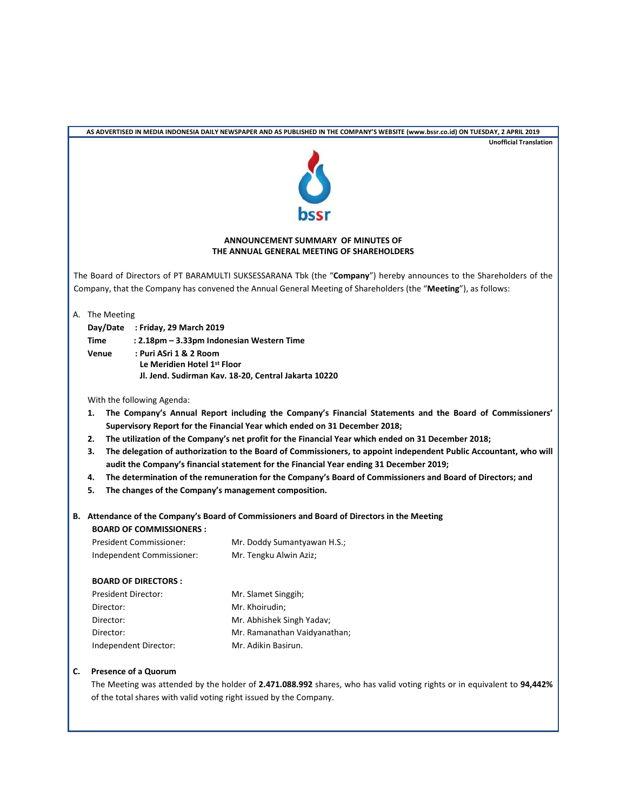|                        |                                                                                  |                                                                               | AS ADVERTISED IN MEDIA INDONESIA DAILY NEWSPAPER AND AS PUBLISHED IN THE COMPANY'S WEBSITE (www.bssr.co.id) ON TUESDAY, 2 APRIL 2019                                              |  |  |  |
|------------------------|----------------------------------------------------------------------------------|-------------------------------------------------------------------------------|-----------------------------------------------------------------------------------------------------------------------------------------------------------------------------------|--|--|--|
|                        |                                                                                  |                                                                               | <b>Unofficial Translation</b>                                                                                                                                                     |  |  |  |
|                        |                                                                                  |                                                                               |                                                                                                                                                                                   |  |  |  |
|                        |                                                                                  |                                                                               |                                                                                                                                                                                   |  |  |  |
|                        | ANNOUNCEMENT SUMMARY OF MINUTES OF<br>THE ANNUAL GENERAL MEETING OF SHAREHOLDERS |                                                                               |                                                                                                                                                                                   |  |  |  |
|                        |                                                                                  |                                                                               | The Board of Directors of PT BARAMULTI SUKSESSARANA Tbk (the "Company") hereby announces to the Shareholders of the                                                               |  |  |  |
|                        |                                                                                  |                                                                               | Company, that the Company has convened the Annual General Meeting of Shareholders (the "Meeting"), as follows:                                                                    |  |  |  |
|                        |                                                                                  | A. The Meeting                                                                |                                                                                                                                                                                   |  |  |  |
|                        | Time                                                                             | Day/Date : Friday, 29 March 2019<br>: 2.18pm - 3.33pm Indonesian Western Time |                                                                                                                                                                                   |  |  |  |
|                        | Venue                                                                            | : Puri ASri 1 & 2 Room                                                        |                                                                                                                                                                                   |  |  |  |
|                        |                                                                                  | Le Meridien Hotel 1st Floor                                                   |                                                                                                                                                                                   |  |  |  |
|                        |                                                                                  |                                                                               | Jl. Jend. Sudirman Kav. 18-20, Central Jakarta 10220                                                                                                                              |  |  |  |
|                        |                                                                                  | With the following Agenda:                                                    |                                                                                                                                                                                   |  |  |  |
|                        | 1.                                                                               |                                                                               | The Company's Annual Report including the Company's Financial Statements and the Board of Commissioners'                                                                          |  |  |  |
|                        | 2.                                                                               |                                                                               | Supervisory Report for the Financial Year which ended on 31 December 2018;<br>The utilization of the Company's net profit for the Financial Year which ended on 31 December 2018; |  |  |  |
|                        | з.                                                                               |                                                                               | The delegation of authorization to the Board of Commissioners, to appoint independent Public Accountant, who will                                                                 |  |  |  |
|                        |                                                                                  |                                                                               | audit the Company's financial statement for the Financial Year ending 31 December 2019;                                                                                           |  |  |  |
|                        | 4.                                                                               |                                                                               | The determination of the remuneration for the Company's Board of Commissioners and Board of Directors; and                                                                        |  |  |  |
|                        | 5.                                                                               |                                                                               | The changes of the Company's management composition.                                                                                                                              |  |  |  |
|                        |                                                                                  | <b>BOARD OF COMMISSIONERS:</b>                                                | B. Attendance of the Company's Board of Commissioners and Board of Directors in the Meeting                                                                                       |  |  |  |
|                        |                                                                                  | <b>President Commissioner:</b>                                                | Mr. Doddy Sumantyawan H.S.;                                                                                                                                                       |  |  |  |
|                        |                                                                                  | Independent Commissioner:                                                     | Mr. Tengku Alwin Aziz;                                                                                                                                                            |  |  |  |
|                        |                                                                                  | <b>BOARD OF DIRECTORS:</b>                                                    |                                                                                                                                                                                   |  |  |  |
| President Director:    |                                                                                  |                                                                               | Mr. Slamet Singgih;                                                                                                                                                               |  |  |  |
| Director:              |                                                                                  |                                                                               | Mr. Khoirudin;                                                                                                                                                                    |  |  |  |
| Director:<br>Director: |                                                                                  |                                                                               | Mr. Abhishek Singh Yadav;<br>Mr. Ramanathan Vaidyanathan;                                                                                                                         |  |  |  |
|                        |                                                                                  | Independent Director:                                                         | Mr. Adikin Basirun.                                                                                                                                                               |  |  |  |
| C.                     |                                                                                  | <b>Presence of a Quorum</b>                                                   |                                                                                                                                                                                   |  |  |  |
|                        |                                                                                  |                                                                               | The Meeting was attended by the holder of 2.471.088.992 shares, who has valid voting rights or in equivalent to 94,442%                                                           |  |  |  |
|                        |                                                                                  |                                                                               | of the total shares with valid voting right issued by the Company.                                                                                                                |  |  |  |
|                        |                                                                                  |                                                                               |                                                                                                                                                                                   |  |  |  |
|                        |                                                                                  |                                                                               |                                                                                                                                                                                   |  |  |  |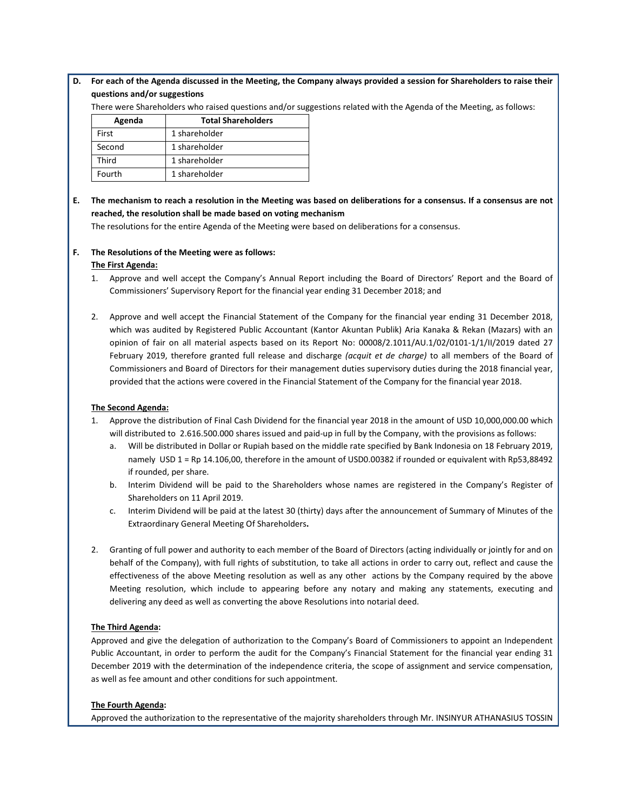## **D. For each of the Agenda discussed in the Meeting, the Company always provided a session for Shareholders to raise their questions and/or suggestions**

There were Shareholders who raised questions and/or suggestions related with the Agenda of the Meeting, as follows:

| Agenda | <b>Total Shareholders</b> |
|--------|---------------------------|
| First  | 1 shareholder             |
| Second | 1 shareholder             |
| Third  | 1 shareholder             |
| Fourth | 1 shareholder             |

# **E. The mechanism to reach a resolution in the Meeting was based on deliberations for a consensus. If a consensus are not reached, the resolution shall be made based on voting mechanism**

The resolutions for the entire Agenda of the Meeting were based on deliberations for a consensus.

### **F. The Resolutions of the Meeting were as follows: The First Agenda:**

## 1. Approve and well accept the Company's Annual Report including the Board of Directors' Report and the Board of Commissioners' Supervisory Report for the financial year ending 31 December 2018; and

2. Approve and well accept the Financial Statement of the Company for the financial year ending 31 December 2018, which was audited by Registered Public Accountant (Kantor Akuntan Publik) Aria Kanaka & Rekan (Mazars) with an opinion of fair on all material aspects based on its Report No: 00008/2.1011/AU.1/02/0101-1/1/II/2019 dated 27 February 2019, therefore granted full release and discharge *(acquit et de charge)* to all members of the Board of Commissioners and Board of Directors for their management duties supervisory duties during the 2018 financial year, provided that the actions were covered in the Financial Statement of the Company for the financial year 2018.

## **The Second Agenda:**

- 1. Approve the distribution of Final Cash Dividend for the financial year 2018 in the amount of USD 10,000,000.00 which will distributed to 2.616.500.000 shares issued and paid-up in full by the Company, with the provisions as follows:
	- a. Will be distributed in Dollar or Rupiah based on the middle rate specified by Bank Indonesia on 18 February 2019, namely USD 1 = Rp 14.106,00, therefore in the amount of USD0.00382 if rounded or equivalent with Rp53,88492 if rounded, per share.
	- b. Interim Dividend will be paid to the Shareholders whose names are registered in the Company's Register of Shareholders on 11 April 2019.
	- c. Interim Dividend will be paid at the latest 30 (thirty) days after the announcement of Summary of Minutes of the Extraordinary General Meeting Of Shareholders**.**
- 2. Granting of full power and authority to each member of the Board of Directors (acting individually or jointly for and on behalf of the Company), with full rights of substitution, to take all actions in order to carry out, reflect and cause the effectiveness of the above Meeting resolution as well as any other actions by the Company required by the above Meeting resolution, which include to appearing before any notary and making any statements, executing and delivering any deed as well as converting the above Resolutions into notarial deed.

## **The Third Agenda:**

Approved and give the delegation of authorization to the Company's Board of Commissioners to appoint an Independent Public Accountant, in order to perform the audit for the Company's Financial Statement for the financial year ending 31 December 2019 with the determination of the independence criteria, the scope of assignment and service compensation, as well as fee amount and other conditions for such appointment.

### **The Fourth Agenda:**

Approved the authorization to the representative of the majority shareholders through Mr. INSINYUR ATHANASIUS TOSSIN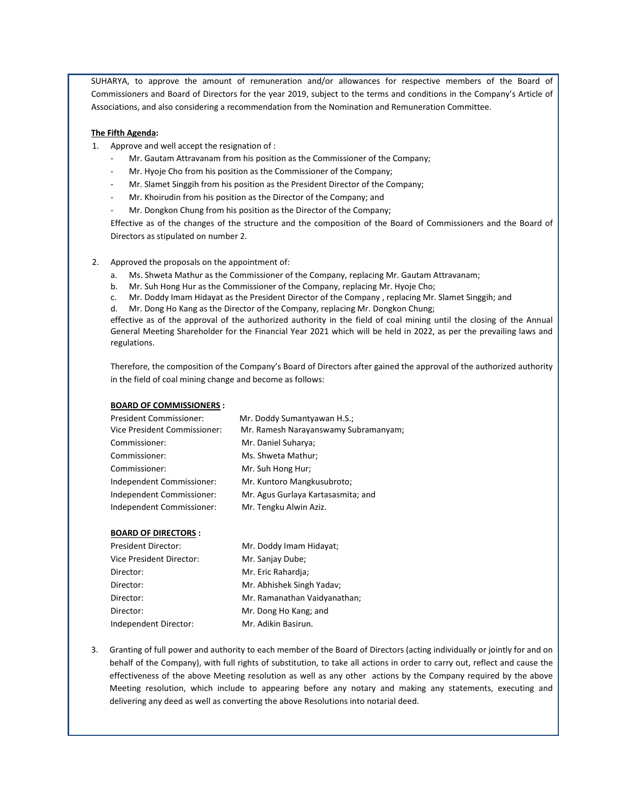SUHARYA, to approve the amount of remuneration and/or allowances for respective members of the Board of Commissioners and Board of Directors for the year 2019, subject to the terms and conditions in the Company's Article of Associations, and also considering a recommendation from the Nomination and Remuneration Committee.

#### **The Fifth Agenda:**

- 1. Approve and well accept the resignation of :
	- Mr. Gautam Attravanam from his position as the Commissioner of the Company;
	- Mr. Hyoje Cho from his position as the Commissioner of the Company;
	- Mr. Slamet Singgih from his position as the President Director of the Company;
	- Mr. Khoirudin from his position as the Director of the Company; and
	- Mr. Dongkon Chung from his position as the Director of the Company;

Effective as of the changes of the structure and the composition of the Board of Commissioners and the Board of Directors as stipulated on number 2.

- 2. Approved the proposals on the appointment of:
	- a. Ms. Shweta Mathur as the Commissioner of the Company, replacing Mr. Gautam Attravanam;
	- b. Mr. Suh Hong Hur as the Commissioner of the Company, replacing Mr. Hyoje Cho;
	- c. Mr. Doddy Imam Hidayat as the President Director of the Company , replacing Mr. Slamet Singgih; and
	- d. Mr. Dong Ho Kang as the Director of the Company, replacing Mr. Dongkon Chung;

effective as of the approval of the authorized authority in the field of coal mining until the closing of the Annual General Meeting Shareholder for the Financial Year 2021 which will be held in 2022, as per the prevailing laws and regulations.

Therefore, the composition of the Company's Board of Directors after gained the approval of the authorized authority in the field of coal mining change and become as follows:

#### **BOARD OF COMMISSIONERS :**

| <b>President Commissioner:</b> | Mr. Doddy Sumantyawan H.S.;          |
|--------------------------------|--------------------------------------|
| Vice President Commissioner:   | Mr. Ramesh Narayanswamy Subramanyam; |
| Commissioner:                  | Mr. Daniel Suharya;                  |
| Commissioner:                  | Ms. Shweta Mathur:                   |
| Commissioner:                  | Mr. Suh Hong Hur;                    |
| Independent Commissioner:      | Mr. Kuntoro Mangkusubroto;           |
| Independent Commissioner:      | Mr. Agus Gurlaya Kartasasmita; and   |
| Independent Commissioner:      | Mr. Tengku Alwin Aziz.               |

#### **BOARD OF DIRECTORS :**

| <b>President Director:</b> | Mr. Doddy Imam Hidayat;      |
|----------------------------|------------------------------|
| Vice President Director:   | Mr. Sanjay Dube;             |
| Director:                  | Mr. Eric Rahardja;           |
| Director:                  | Mr. Abhishek Singh Yadav;    |
| Director:                  | Mr. Ramanathan Vaidyanathan; |
| Director:                  | Mr. Dong Ho Kang; and        |
| Independent Director:      | Mr. Adikin Basirun.          |

3. Granting of full power and authority to each member of the Board of Directors (acting individually or jointly for and on behalf of the Company), with full rights of substitution, to take all actions in order to carry out, reflect and cause the effectiveness of the above Meeting resolution as well as any other actions by the Company required by the above Meeting resolution, which include to appearing before any notary and making any statements, executing and delivering any deed as well as converting the above Resolutions into notarial deed.